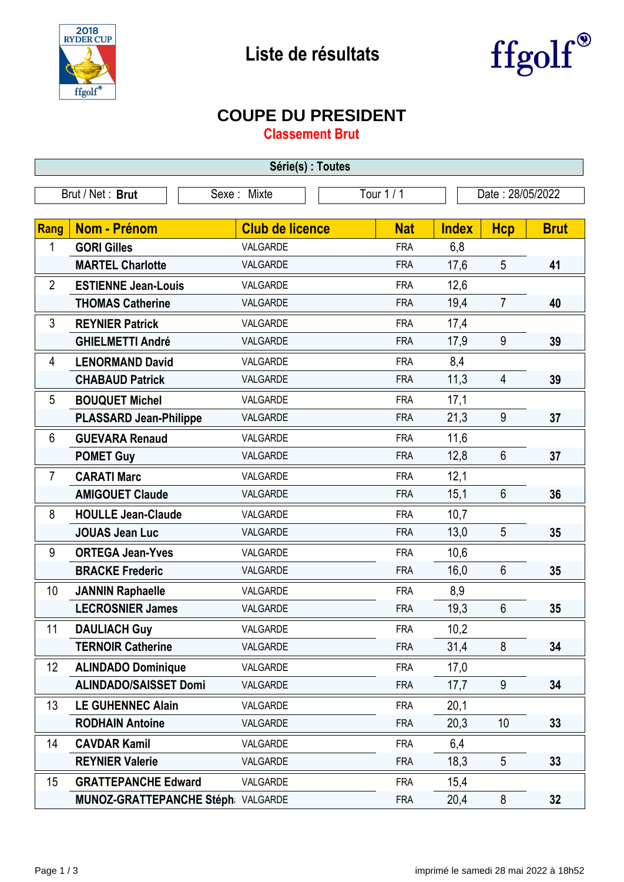



## **COUPE DU PRESIDENT**

**Classement Brut**

| Série(s) : Toutes                                                 |                                    |                        |            |              |                |             |  |
|-------------------------------------------------------------------|------------------------------------|------------------------|------------|--------------|----------------|-------------|--|
| Brut / Net: Brut<br>Tour 1 / 1<br>Sexe: Mixte<br>Date: 28/05/2022 |                                    |                        |            |              |                |             |  |
|                                                                   |                                    |                        |            |              |                |             |  |
| <b>Rang</b>                                                       | <b>Nom - Prénom</b>                | <b>Club de licence</b> | <b>Nat</b> | <b>Index</b> | <b>Hcp</b>     | <b>Brut</b> |  |
| 1                                                                 | <b>GORI Gilles</b>                 | VALGARDE               | <b>FRA</b> | 6,8          |                |             |  |
|                                                                   | <b>MARTEL Charlotte</b>            | VALGARDE               | <b>FRA</b> | 17,6         | 5              | 41          |  |
| $\overline{2}$                                                    | <b>ESTIENNE Jean-Louis</b>         | VALGARDE               | <b>FRA</b> | 12,6         |                |             |  |
|                                                                   | <b>THOMAS Catherine</b>            | VALGARDE               | <b>FRA</b> | 19,4         | $\overline{7}$ | 40          |  |
| 3                                                                 | <b>REYNIER Patrick</b>             | VALGARDE               | <b>FRA</b> | 17,4         |                |             |  |
|                                                                   | <b>GHIELMETTI André</b>            | VALGARDE               | <b>FRA</b> | 17,9         | 9              | 39          |  |
| 4                                                                 | <b>LENORMAND David</b>             | VALGARDE               | <b>FRA</b> | 8,4          |                |             |  |
|                                                                   | <b>CHABAUD Patrick</b>             | VALGARDE               | <b>FRA</b> | 11,3         | 4              | 39          |  |
| 5                                                                 | <b>BOUQUET Michel</b>              | VALGARDE               | <b>FRA</b> | 17,1         |                |             |  |
|                                                                   | <b>PLASSARD Jean-Philippe</b>      | VALGARDE               | <b>FRA</b> | 21,3         | 9              | 37          |  |
| 6                                                                 | <b>GUEVARA Renaud</b>              | VALGARDE               | <b>FRA</b> | 11,6         |                |             |  |
|                                                                   | <b>POMET Guy</b>                   | VALGARDE               | <b>FRA</b> | 12,8         | 6              | 37          |  |
| $\overline{7}$                                                    | <b>CARATI Marc</b>                 | VALGARDE               | <b>FRA</b> | 12,1         |                |             |  |
|                                                                   | <b>AMIGOUET Claude</b>             | VALGARDE               | <b>FRA</b> | 15,1         | 6              | 36          |  |
| 8                                                                 | <b>HOULLE Jean-Claude</b>          | VALGARDE               | <b>FRA</b> | 10,7         |                |             |  |
|                                                                   | <b>JOUAS Jean Luc</b>              | VALGARDE               | <b>FRA</b> | 13,0         | 5              | 35          |  |
| 9                                                                 | <b>ORTEGA Jean-Yves</b>            | VALGARDE               | <b>FRA</b> | 10,6         |                |             |  |
|                                                                   | <b>BRACKE Frederic</b>             | VALGARDE               | <b>FRA</b> | 16,0         | 6              | 35          |  |
| 10                                                                | <b>JANNIN Raphaelle</b>            | VALGARDE               | <b>FRA</b> | 8,9          |                |             |  |
|                                                                   | <b>LECROSNIER James</b>            | VALGARDE               | <b>FRA</b> | 19,3         | $6\phantom{1}$ | 35          |  |
| 11                                                                | <b>DAULIACH Guy</b>                | VALGARDE               | <b>FRA</b> | 10,2         |                |             |  |
|                                                                   | <b>TERNOIR Catherine</b>           | VALGARDE               | <b>FRA</b> | 31,4         | 8              | 34          |  |
| 12                                                                | <b>ALINDADO Dominique</b>          | VALGARDE               | <b>FRA</b> | 17,0         |                |             |  |
|                                                                   | <b>ALINDADO/SAISSET Domi</b>       | VALGARDE               | <b>FRA</b> | 17,7         | 9              | 34          |  |
| 13                                                                | <b>LE GUHENNEC Alain</b>           | VALGARDE               | <b>FRA</b> | 20,1         |                |             |  |
|                                                                   | <b>RODHAIN Antoine</b>             | VALGARDE               | <b>FRA</b> | 20,3         | 10             | 33          |  |
| 14                                                                | <b>CAVDAR Kamil</b>                | VALGARDE               | <b>FRA</b> | 6,4          |                |             |  |
|                                                                   | <b>REYNIER Valerie</b>             | VALGARDE               | <b>FRA</b> | 18,3         | 5              | 33          |  |
| 15                                                                | <b>GRATTEPANCHE Edward</b>         | VALGARDE               | <b>FRA</b> | 15,4         |                |             |  |
|                                                                   | MUNOZ-GRATTEPANCHE Stéph: VALGARDE |                        | <b>FRA</b> | 20,4         | 8              | 32          |  |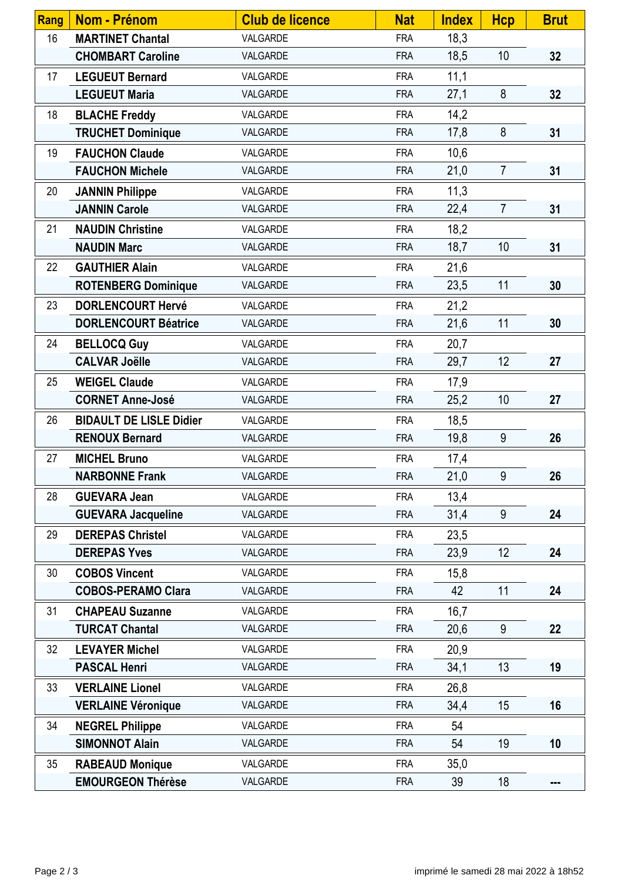| Rang | <b>Nom - Prénom</b>            | <b>Club de licence</b> | <b>Nat</b> | <b>Index</b> | <b>Hcp</b>      | <b>Brut</b> |
|------|--------------------------------|------------------------|------------|--------------|-----------------|-------------|
| 16   | <b>MARTINET Chantal</b>        | VALGARDE               | <b>FRA</b> | 18,3         |                 |             |
|      | <b>CHOMBART Caroline</b>       | VALGARDE               | <b>FRA</b> | 18,5         | 10              | 32          |
| 17   | <b>LEGUEUT Bernard</b>         | VALGARDE               | <b>FRA</b> | 11,1         |                 |             |
|      | <b>LEGUEUT Maria</b>           | VALGARDE               | <b>FRA</b> | 27,1         | 8               | 32          |
| 18   | <b>BLACHE Freddy</b>           | VALGARDE               | <b>FRA</b> | 14,2         |                 |             |
|      | <b>TRUCHET Dominique</b>       | VALGARDE               | <b>FRA</b> | 17,8         | 8               | 31          |
| 19   | <b>FAUCHON Claude</b>          | VALGARDE               | <b>FRA</b> | 10,6         |                 |             |
|      | <b>FAUCHON Michele</b>         | VALGARDE               | <b>FRA</b> | 21,0         | $\overline{7}$  | 31          |
| 20   | <b>JANNIN Philippe</b>         | VALGARDE               | <b>FRA</b> | 11,3         |                 |             |
|      | <b>JANNIN Carole</b>           | VALGARDE               | <b>FRA</b> | 22,4         | $\overline{7}$  | 31          |
| 21   | <b>NAUDIN Christine</b>        | VALGARDE               | <b>FRA</b> | 18,2         |                 |             |
|      | <b>NAUDIN Marc</b>             | VALGARDE               | <b>FRA</b> | 18,7         | 10 <sup>1</sup> | 31          |
| 22   | <b>GAUTHIER Alain</b>          | VALGARDE               | <b>FRA</b> | 21,6         |                 |             |
|      | <b>ROTENBERG Dominique</b>     | VALGARDE               | <b>FRA</b> | 23,5         | 11              | 30          |
| 23   | <b>DORLENCOURT Hervé</b>       | VALGARDE               | <b>FRA</b> | 21,2         |                 |             |
|      | <b>DORLENCOURT Béatrice</b>    | VALGARDE               | <b>FRA</b> | 21,6         | 11              | 30          |
| 24   | <b>BELLOCQ Guy</b>             | VALGARDE               | <b>FRA</b> | 20,7         |                 |             |
|      | <b>CALVAR Joëlle</b>           | VALGARDE               | <b>FRA</b> | 29,7         | 12              | 27          |
| 25   | <b>WEIGEL Claude</b>           | VALGARDE               | <b>FRA</b> | 17,9         |                 |             |
|      | <b>CORNET Anne-José</b>        | VALGARDE               | <b>FRA</b> | 25,2         | 10              | 27          |
| 26   | <b>BIDAULT DE LISLE Didier</b> | VALGARDE               | <b>FRA</b> | 18,5         |                 |             |
|      | <b>RENOUX Bernard</b>          | VALGARDE               | <b>FRA</b> | 19,8         | 9               | 26          |
| 27   | <b>MICHEL Bruno</b>            | VALGARDE               | <b>FRA</b> | 17,4         |                 |             |
|      | <b>NARBONNE Frank</b>          | VALGARDE               | <b>FRA</b> | 21,0         | 9               | 26          |
| 28   | <b>GUEVARA Jean</b>            | VALGARDE               | <b>FRA</b> | 13,4         |                 |             |
|      | <b>GUEVARA Jacqueline</b>      | VALGARDE               | <b>FRA</b> | 31,4         | 9               | 24          |
| 29   | <b>DEREPAS Christel</b>        | VALGARDE               | <b>FRA</b> | 23,5         |                 |             |
|      | <b>DEREPAS Yves</b>            | VALGARDE               | <b>FRA</b> | 23,9         | 12              | 24          |
| 30   | <b>COBOS Vincent</b>           | VALGARDE               | <b>FRA</b> | 15,8         |                 |             |
|      | <b>COBOS-PERAMO Clara</b>      | VALGARDE               | <b>FRA</b> | 42           | 11              | 24          |
| 31   | <b>CHAPEAU Suzanne</b>         | VALGARDE               | <b>FRA</b> | 16,7         |                 |             |
|      | <b>TURCAT Chantal</b>          | VALGARDE               | <b>FRA</b> | 20,6         | 9               | 22          |
| 32   | <b>LEVAYER Michel</b>          | VALGARDE               | <b>FRA</b> | 20,9         |                 |             |
|      | <b>PASCAL Henri</b>            | VALGARDE               | <b>FRA</b> | 34,1         | 13              | 19          |
| 33   | <b>VERLAINE Lionel</b>         | VALGARDE               | <b>FRA</b> | 26,8         |                 |             |
|      | <b>VERLAINE Véronique</b>      | VALGARDE               | <b>FRA</b> | 34,4         | 15              | 16          |
| 34   | <b>NEGREL Philippe</b>         | VALGARDE               | <b>FRA</b> | 54           |                 |             |
|      | <b>SIMONNOT Alain</b>          | VALGARDE               | <b>FRA</b> | 54           | 19              | 10          |
| 35   | <b>RABEAUD Monique</b>         | VALGARDE               | <b>FRA</b> | 35,0         |                 |             |
|      | <b>EMOURGEON Thérèse</b>       | VALGARDE               | <b>FRA</b> | 39           | 18              | ---         |